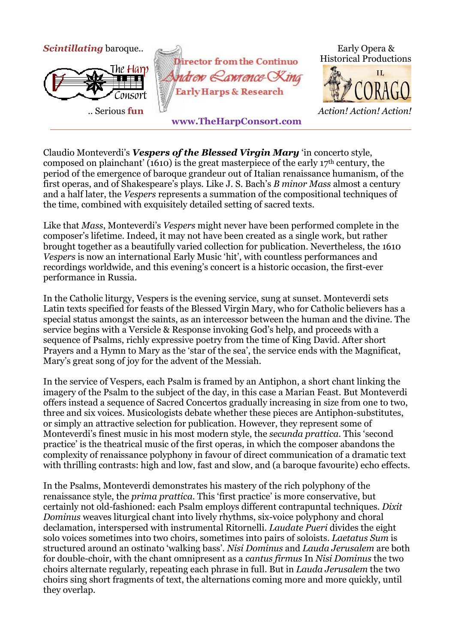

Claudio Monteverdi's *Vespers of the Blessed Virgin Mary* 'in concerto style, composed on plainchant' (1610) is the great masterpiece of the early 17th century, the period of the emergence of baroque grandeur out of Italian renaissance humanism, of the first operas, and of Shakespeare's plays. Like J. S. Bach's *B minor Mass* almost a century and a half later, the *Vespers* represents a summation of the compositional techniques of the time, combined with exquisitely detailed setting of sacred texts.

Like that *Mass*, Monteverdi's *Vespers* might never have been performed complete in the composer's lifetime. Indeed, it may not have been created as a single work, but rather brought together as a beautifully varied collection for publication. Nevertheless, the 1610 *Vespers* is now an international Early Music 'hit', with countless performances and recordings worldwide, and this evening's concert is a historic occasion, the first-ever performance in Russia.

In the Catholic liturgy, Vespers is the evening service, sung at sunset. Monteverdi sets Latin texts specified for feasts of the Blessed Virgin Mary, who for Catholic believers has a special status amongst the saints, as an intercessor between the human and the divine. The service begins with a Versicle & Response invoking God's help, and proceeds with a sequence of Psalms, richly expressive poetry from the time of King David. After short Prayers and a Hymn to Mary as the 'star of the sea', the service ends with the Magnificat, Mary's great song of joy for the advent of the Messiah.

In the service of Vespers, each Psalm is framed by an Antiphon, a short chant linking the imagery of the Psalm to the subject of the day, in this case a Marian Feast. But Monteverdi offers instead a sequence of Sacred Concertos gradually increasing in size from one to two, three and six voices. Musicologists debate whether these pieces are Antiphon-substitutes, or simply an attractive selection for publication. However, they represent some of Monteverdi's finest music in his most modern style, the *secunda prattica.* This 'second practice' is the theatrical music of the first operas, in which the composer abandons the complexity of renaissance polyphony in favour of direct communication of a dramatic text with thrilling contrasts: high and low, fast and slow, and (a baroque favourite) echo effects.

In the Psalms, Monteverdi demonstrates his mastery of the rich polyphony of the renaissance style, the *prima prattica*. This 'first practice' is more conservative, but certainly not old-fashioned: each Psalm employs different contrapuntal techniques. *Dixit Dominus* weaves liturgical chant into lively rhythms, six-voice polyphony and choral declamation, interspersed with instrumental Ritornelli. *Laudate Pueri* divides the eight solo voices sometimes into two choirs, sometimes into pairs of soloists. *Laetatus Sum* is structured around an ostinato 'walking bass'. *Nisi Dominus* and *Lauda Jerusalem* are both for double-choir, with the chant omnipresent as a *cantus firmus* In *Nisi Dominus* the two choirs alternate regularly, repeating each phrase in full. But in *Lauda Jerusalem* the two choirs sing short fragments of text, the alternations coming more and more quickly, until they overlap.